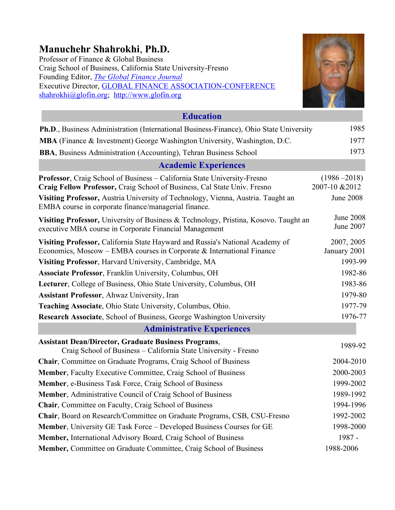# **Manuchehr Shahrokhi**, **Ph.D.**

Professor of Finance & Global Business Craig School of Business, California State University-Fresno Founding Editor, *[The Global Finance Journal](http://www.glofin.org/)* Executive Director, **GLOBAL FINANCE ASSOCIATION-CONFERENCE** [shahrokhi@glofin.org;](mailto:shahrokhi@glofin.org) [http://www.glofin.org](http://www.glofin.org/)



| <b>Education</b>                                                                                                                                       |                                   |
|--------------------------------------------------------------------------------------------------------------------------------------------------------|-----------------------------------|
| Ph.D., Business Administration (International Business-Finance), Ohio State University                                                                 | 1985                              |
| MBA (Finance & Investment) George Washington University, Washington, D.C.                                                                              | 1977                              |
| <b>BBA</b> , Business Administration (Accounting), Tehran Business School                                                                              | 1973                              |
| <b>Academic Experiences</b>                                                                                                                            |                                   |
| Professor, Craig School of Business - California State University-Fresno<br>Craig Fellow Professor, Craig School of Business, Cal State Univ. Fresno   | $(1986 - 2018)$<br>2007-10 & 2012 |
| Visiting Professor, Austria University of Technology, Vienna, Austria. Taught an<br>EMBA course in corporate finance/managerial finance.               | <b>June 2008</b>                  |
| Visiting Professor, University of Business & Technology, Pristina, Kosovo. Taught an<br>executive MBA course in Corporate Financial Management         | <b>June 2008</b><br>June 2007     |
| Visiting Professor, California State Hayward and Russia's National Academy of<br>Economics, Moscow – EMBA courses in Corporate & International Finance | 2007, 2005<br>January 2001        |
| Visiting Professor, Harvard University, Cambridge, MA                                                                                                  | 1993-99                           |
| Associate Professor, Franklin University, Columbus, OH                                                                                                 | 1982-86                           |
| Lecturer, College of Business, Ohio State University, Columbus, OH                                                                                     | 1983-86                           |
| <b>Assistant Professor</b> , Ahwaz University, Iran                                                                                                    | 1979-80                           |
| Teaching Associate, Ohio State University, Columbus, Ohio.                                                                                             | 1977-79                           |
| Research Associate, School of Business, George Washington University                                                                                   | 1976-77                           |
| <b>Administrative Experiences</b>                                                                                                                      |                                   |
| <b>Assistant Dean/Director, Graduate Business Programs,</b><br>Craig School of Business - California State University - Fresno                         | 1989-92                           |
| Chair, Committee on Graduate Programs, Craig School of Business                                                                                        | 2004-2010                         |
| Member, Faculty Executive Committee, Craig School of Business                                                                                          | 2000-2003                         |
| Member, e-Business Task Force, Craig School of Business                                                                                                | 1999-2002                         |
| Member, Administrative Council of Craig School of Business                                                                                             | 1989-1992                         |
| Chair, Committee on Faculty, Craig School of Business                                                                                                  | 1994-1996                         |
| Chair, Board on Research/Committee on Graduate Programs, CSB, CSU-Fresno                                                                               | 1992-2002                         |
| Member, University GE Task Force - Developed Business Courses for GE                                                                                   | 1998-2000                         |
| Member, International Advisory Board, Craig School of Business                                                                                         | 1987 -                            |
| Member, Committee on Graduate Committee, Craig School of Business                                                                                      | 1988-2006                         |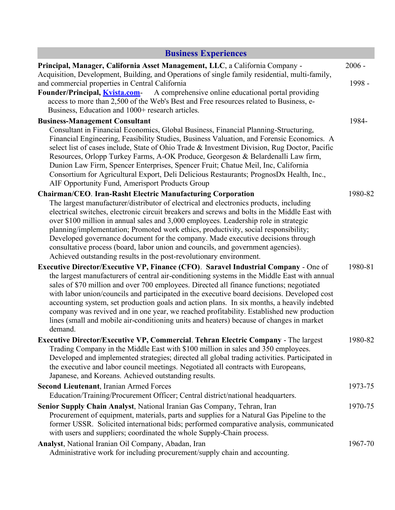# **Business Experiences**

 $\mathcal{L}^{\text{max}}_{\text{max}}$ 

| Principal, Manager, California Asset Management, LLC, a California Company -                                                                                                                                                                                                                                                                                                                                                                                                                                                                                                                                                                                                               | $2006 -$ |
|--------------------------------------------------------------------------------------------------------------------------------------------------------------------------------------------------------------------------------------------------------------------------------------------------------------------------------------------------------------------------------------------------------------------------------------------------------------------------------------------------------------------------------------------------------------------------------------------------------------------------------------------------------------------------------------------|----------|
| Acquisition, Development, Building, and Operations of single family residential, multi-family,<br>and commercial properties in Central California<br>A comprehensive online educational portal providing<br>Founder/Principal, <i>Kvista.com</i> -<br>access to more than 2,500 of the Web's Best and Free resources related to Business, e-                                                                                                                                                                                                                                                                                                                                               | 1998 -   |
| Business, Education and 1000+ research articles.                                                                                                                                                                                                                                                                                                                                                                                                                                                                                                                                                                                                                                           |          |
| <b>Business-Management Consultant</b><br>Consultant in Financial Economics, Global Business, Financial Planning-Structuring,<br>Financial Engineering, Feasibility Studies, Business Valuation, and Forensic Economics. A<br>select list of cases include, State of Ohio Trade & Investment Division, Rug Doctor, Pacific<br>Resources, Orlopp Turkey Farms, A-OK Produce, Georgeson & Belardenalli Law firm,<br>Dunion Law Firm, Spencer Enterprises, Spencer Fruit; Chatue Meil, Inc, California<br>Consortium for Agricultural Export, Deli Delicious Restaurants; PrognosDx Health, Inc.,                                                                                              | 1984-    |
| AIF Opportunity Fund, Amerisport Products Group                                                                                                                                                                                                                                                                                                                                                                                                                                                                                                                                                                                                                                            |          |
| <b>Chairman/CEO. Iran-Rasht Electric Manufacturing Corporation</b><br>The largest manufacturer/distributor of electrical and electronics products, including<br>electrical switches, electronic circuit breakers and screws and bolts in the Middle East with<br>over \$100 million in annual sales and 3,000 employees. Leadership role in strategic<br>planning/implementation; Promoted work ethics, productivity, social responsibility;<br>Developed governance document for the company. Made executive decisions through<br>consultative process (board, labor union and councils, and government agencies).<br>Achieved outstanding results in the post-revolutionary environment. | 1980-82  |
|                                                                                                                                                                                                                                                                                                                                                                                                                                                                                                                                                                                                                                                                                            | 1980-81  |
| <b>Executive Director/Executive VP, Finance (CFO). Saravel Industrial Company - One of</b><br>the largest manufacturers of central air-conditioning systems in the Middle East with annual<br>sales of \$70 million and over 700 employees. Directed all finance functions; negotiated<br>with labor union/councils and participated in the executive board decisions. Developed cost<br>accounting system, set production goals and action plans. In six months, a heavily indebted<br>company was revived and in one year, we reached profitability. Established new production<br>lines (small and mobile air-conditioning units and heaters) because of changes in market<br>demand.   |          |
| Executive Director/Executive VP, Commercial. Tehran Electric Company - The largest                                                                                                                                                                                                                                                                                                                                                                                                                                                                                                                                                                                                         | 1980-82  |
| Trading Company in the Middle East with \$100 million in sales and 350 employees.<br>Developed and implemented strategies; directed all global trading activities. Participated in<br>the executive and labor council meetings. Negotiated all contracts with Europeans,<br>Japanese, and Koreans. Achieved outstanding results.                                                                                                                                                                                                                                                                                                                                                           |          |
| <b>Second Lieutenant, Iranian Armed Forces</b>                                                                                                                                                                                                                                                                                                                                                                                                                                                                                                                                                                                                                                             | 1973-75  |
| Education/Training/Procurement Officer; Central district/national headquarters.                                                                                                                                                                                                                                                                                                                                                                                                                                                                                                                                                                                                            |          |
| Senior Supply Chain Analyst, National Iranian Gas Company, Tehran, Iran<br>Procurement of equipment, materials, parts and supplies for a Natural Gas Pipeline to the<br>former USSR. Solicited international bids; performed comparative analysis, communicated<br>with users and suppliers; coordinated the whole Supply-Chain process.                                                                                                                                                                                                                                                                                                                                                   | 1970-75  |
| Analyst, National Iranian Oil Company, Abadan, Iran<br>Administrative work for including procurement/supply chain and accounting.                                                                                                                                                                                                                                                                                                                                                                                                                                                                                                                                                          | 1967-70  |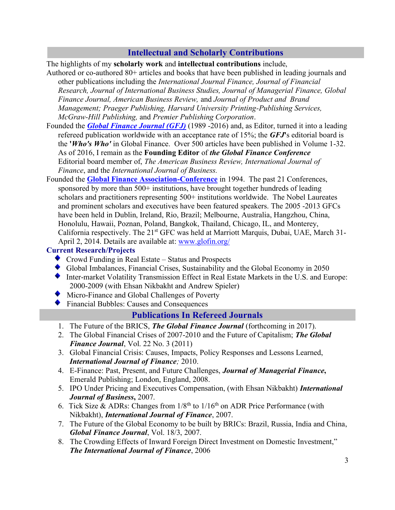### **Intellectual and Scholarly Contributions**

The highlights of my **scholarly work** and **intellectual contributions** include,

- Authored or co-authored 80+ articles and books that have been published in leading journals and other publications including the *International Journal Finance, Journal of Financial Research, Journal of International Business Studies, Journal of Managerial Finance, Global Finance Journal, American Business Review,* and *Journal of Product and Brand Management; Praeger Publishing, Harvard University Printing-Publishing Services, McGraw-Hill Publishing,* and *Premier Publishing Corporation*.
- Founded the *[Global Finance Journal \(GFJ\)](http://www.craig.csufresno.edu/International_Programs/GFC/JOURNAL/xjournal_modif.htm)* (1989 -2016) and, as Editor, turned it into a leading refereed publication worldwide with an acceptance rate of 15%; the *GFJ***'**s editorial board is the **'***Who's Who'* in Global Finance. Over 500 articles have been published in Volume 1-32. As of 2016, I remain as the **Founding Editor** of *the Global Finance Conference* Editorial board member of, *The American Business Review, International Journal of Finance*, and the *International Journal of Business.*
- Founded the **[Global Finance Association-Conference](http://www.globalfinance.csufresno.edu/)** in 1994. The past 21 Conferences, sponsored by more than 500+ institutions, have brought together hundreds of leading scholars and practitioners representing 500+ institutions worldwide. The Nobel Laureates and prominent scholars and executives have been featured speakers. The 2005 -2013 GFCs have been held in Dublin, Ireland, Rio, Brazil; Melbourne, Australia, Hangzhou, China, Honolulu, Hawaii, Poznan, Poland, Bangkok, Thailand, Chicago, IL, and Monterey, California respectively. The  $21<sup>st</sup>$  GFC was held at Marriott Marquis, Dubai, UAE, March 31April 2, 2014. Details are available at: [www.glofin.org/](http://www.glofin.org/)

#### **Current Research/Projects**

- ◆ Crowd Funding in Real Estate Status and Prospects
- Global Imbalances, Financial Crises, Sustainability and the Global Economy in 2050
- Inter-market Volatility Transmission Effect in Real Estate Markets in the U.S. and Europe: 2000-2009 (with Ehsan Nikbakht and Andrew Spieler)
- Micro-Finance and Global Challenges of Poverty
- Financial Bubbles: Causes and Consequences

### **Publications In Refereed Journals**

- 1. The Future of the BRICS, *The Global Finance Journal* (forthcoming in 2017).
- 2. The Global Financial Crises of 2007-2010 and the Future of Capitalism; *The Global Finance Journal*, Vol. 22 No. 3 (2011)
- 3. Global Financial Crisis: Causes, Impacts, Policy Responses and Lessons Learned, *International Journal of Finance;* 2010.
- 4. E-Finance: Past, Present, and Future Challenges, *Journal of Managerial Finance***,** Emerald Publishing; London, England, 2008.
- 5. IPO Under Pricing and Executives Compensation, (with Ehsan Nikbakht) *International Journal of Business***,** 2007.
- 6. Tick Size & ADRs: Changes from  $1/8<sup>th</sup>$  to  $1/16<sup>th</sup>$  on ADR Price Performance (with Nikbakht), *International Journal of Finance*, 2007.
- 7. The Future of the Global Economy to be built by BRICs: Brazil, Russia, India and China, *Global Finance Journal*, Vol. 18/3, 2007.
- 8. The Crowding Effects of Inward Foreign Direct Investment on Domestic Investment," *The International Journal of Finance*, 2006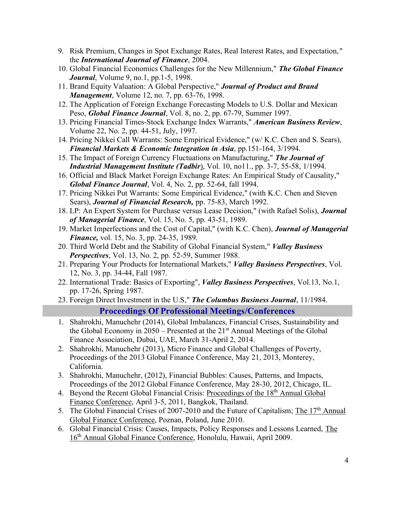- 9. Risk Premium, Changes in Spot Exchange Rates, Real Interest Rates, and Expectation,*"* the *International Journal of Finance*, 2004.
- 10. Global Financial Economics Challenges for the New Millennium," *The Global Finance Journal*, Volume 9, no.1, pp.1-5, 1998.
- 11. Brand Equity Valuation: A Global Perspective," *Journal of Product and Brand Management*, Volume 12, no. 7, pp. 63-76, 1998.
- 12. The Application of Foreign Exchange Forecasting Models to U.S. Dollar and Mexican Peso, *Global Finance Journal*, Vol. 8, no. 2, pp. 67-79, Summer 1997.
- 13. Pricing Financial Times-Stock Exchange Index Warrants," *American Business Review*, Volume 22, No. 2, pp. 44-51, July, 1997.
- 14. Pricing Nikkei Call Warrants: Some Empirical Evidence," (w/ K.C. Chen and S. Sears), *Financial Markets & Economic Integration in Asia*, pp.151-164, 3/1994.
- 15. The Impact of Foreign Currency Fluctuations on Manufacturing," *The Journal of Industrial Management Institute (Tadbir*), Vol. 10, no11., pp. 3-7, 55-58, 1/1994.
- 16. Official and Black Market Foreign Exchange Rates: An Empirical Study of Causality," *Global Finance Journal*, Vol. 4, No. 2, pp. 52-64, fall 1994.
- 17. Pricing Nikkei Put Warrants: Some Empirical Evidence," (with K.C. Chen and Steven Sears), *Journal of Financial Research,* pp. 75-83, March 1992.
- 18. LP: An Expert System for Purchase versus Lease Decision," (with Rafael Solis), *Journal of Managerial Finance*, Vol. 15, No. 5, pp. 43-51, 1989.
- 19. Market Imperfections and the Cost of Capital," (with K.C. Chen), *Journal of Managerial Finance,* vol. 15, No. 3, pp. 24-35, 1989.
- 20. Third World Debt and the Stability of Global Financial System," *Valley Business Perspectives*, Vol. 13, No. 2, pp. 52-59, Summer 1988.
- 21. Preparing Your Products for International Markets," *Valley Business Perspectives*, Vol. 12, No. 3, pp. 34-44, Fall 1987.
- 22. International Trade: Basics of Exporting", *Valley Business Perspectives*, Vol.13, No.1, pp. 17-26, Spring 1987.
- 23. Foreign Direct Investment in the U.S," *The Columbus Business Journal*, 11/1984.

#### **Proceedings Of Professional Meetings/Conferences**

- 1. Shahrokhi, Manuchehr (2014), Global Imbalances, Financial Crises, Sustainability and the Global Economy in  $2050$  – Presented at the  $21<sup>st</sup>$  Annual Meetings of the Global Finance Association, Dubai, UAE, March 31-April 2, 2014.
- 2. Shahrokhi, Manuchehr (2013), Micro Finance and Global Challenges of Poverty, Proceedings of the 2013 Global Finance Conference, May 21, 2013, Monterey, California.
- 3. Shahrokhi, Manuchehr, (2012), Financial Bubbles: Causes, Patterns, and Impacts, Proceedings of the 2012 Global Finance Conference, May 28-30, 2012, Chicago, IL.
- 4. Beyond the Recent Global Financial Crisis: Proceedings of the 18<sup>th</sup> Annual Global Finance Conference, April 3-5, 2011, Bangkok, Thailand.
- 5. The Global Financial Crises of 2007-2010 and the Future of Capitalism; The 17<sup>th</sup> Annual Global Finance Conference, Poznan, Poland, June 2010.
- 6. Global Financial Crisis: Causes, Impacts, Policy Responses and Lessons Learned, The 16th Annual Global Finance Conference, Honolulu, Hawaii, April 2009.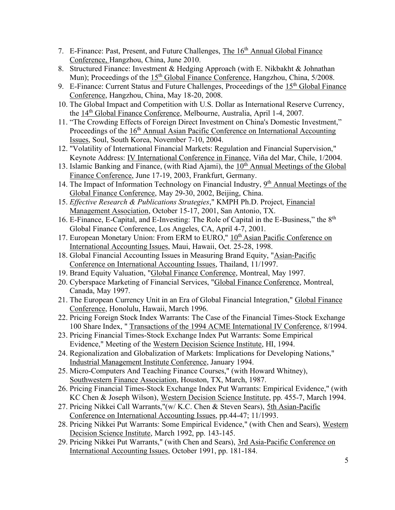- 7. E-Finance: Past, Present, and Future Challenges, The 16<sup>th</sup> Annual Global Finance Conference, Hangzhou, China, June 2010.
- 8. Structured Finance: Investment & Hedging Approach (with E. Nikbakht & Johnathan Mun); Proceedings of the  $15<sup>th</sup>$  Global Finance Conference, Hangzhou, China,  $5/2008$ .
- 9. E-Finance: Current Status and Future Challenges, Proceedings of the  $15<sup>th</sup>$  Global Finance Conference, Hangzhou, China, May 18-20, 2008.
- 10. The Global Impact and Competition with U.S. Dollar as International Reserve Currency, the 14th Global Finance Conference, Melbourne, Australia, April 1-4, 2007.
- 11. "The Crowding Effects of Foreign Direct Investment on China's Domestic Investment," Proceedings of the  $16<sup>th</sup>$  Annual Asian Pacific Conference on International Accounting Issues, Soul, South Korea, November 7-10, 2004.
- 12. "Volatility of International Financial Markets: Regulation and Financial Supervision," Keynote Address: IV International Conference in Finance, Viña del Mar, Chile, 1/2004.
- 13. Islamic Banking and Finance, (with Riad Ajami), the  $10<sup>th</sup>$  Annual Meetings of the Global Finance Conference, June 17-19, 2003, Frankfurt, Germany.
- 14. The Impact of Information Technology on Financial Industry, 9<sup>th</sup> Annual Meetings of the Global Finance Conference, May 29-30, 2002, Beijing, China.
- 15. *Effective Research & Publications Strategies*," KMPH Ph.D. Project, Financial Management Association, October 15-17, 2001, San Antonio, TX.
- 16. E-Finance, E-Capital, and E-Investing: The Role of Capital in the E-Business," the 8<sup>th</sup> Global Finance Conference, Los Angeles, CA, April 4-7, 2001.
- 17. European Monetary Union: From ERM to EURO," 10<sup>th</sup> Asian Pacific Conference on International Accounting Issues, Maui, Hawaii, Oct. 25-28, 1998.
- 18. Global Financial Accounting Issues in Measuring Brand Equity, "Asian-Pacific Conference on International Accounting Issues, Thailand, 11/1997.
- 19. Brand Equity Valuation, "Global Finance Conference, Montreal, May 1997.
- 20. Cyberspace Marketing of Financial Services, "Global Finance Conference, Montreal, Canada, May 1997.
- 21. The European Currency Unit in an Era of Global Financial Integration," Global Finance Conference, Honolulu, Hawaii, March 1996.
- 22. Pricing Foreign Stock Index Warrants: The Case of the Financial Times-Stock Exchange 100 Share Index, " Transactions of the 1994 ACME International IV Conference, 8/1994.
- 23. Pricing Financial Times-Stock Exchange Index Put Warrants: Some Empirical Evidence," Meeting of the Western Decision Science Institute, HI, 1994.
- 24. Regionalization and Globalization of Markets: Implications for Developing Nations," Industrial Management Institute Conference, January 1994.
- 25. Micro-Computers And Teaching Finance Courses," (with Howard Whitney), Southwestern Finance Association, Houston, TX, March, 1987.
- 26. Pricing Financial Times-Stock Exchange Index Put Warrants: Empirical Evidence," (with KC Chen & Joseph Wilson), Western Decision Science Institute, pp. 455-7, March 1994.
- 27. Pricing Nikkei Call Warrants,"(w/ K.C. Chen & Steven Sears), 5th Asian-Pacific Conference on International Accounting Issues, pp.44-47; 11/1993.
- 28. Pricing Nikkei Put Warrants: Some Empirical Evidence," (with Chen and Sears), Western Decision Science Institute, March 1992, pp. 143-145.
- 29. Pricing Nikkei Put Warrants," (with Chen and Sears), 3rd Asia-Pacific Conference on International Accounting Issues, October 1991, pp. 181-184.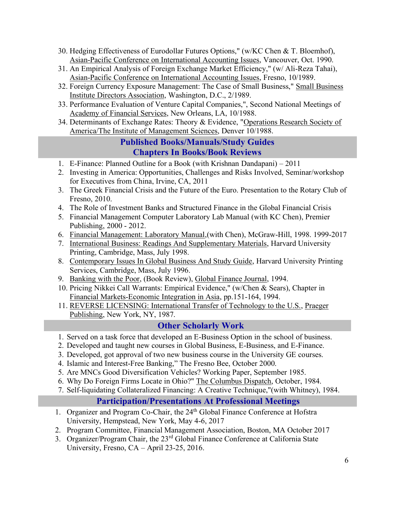- 30. Hedging Effectiveness of Eurodollar Futures Options," (w/KC Chen & T. Bloemhof), Asian-Pacific Conference on International Accounting Issues, Vancouver, Oct. 1990.
- 31. An Empirical Analysis of Foreign Exchange Market Efficiency," (w/ Ali-Reza Tahai), Asian-Pacific Conference on International Accounting Issues, Fresno, 10/1989.
- 32. Foreign Currency Exposure Management: The Case of Small Business," Small Business Institute Directors Association, Washington, D.C., 2/1989.
- 33. Performance Evaluation of Venture Capital Companies,", Second National Meetings of Academy of Financial Services, New Orleans, LA, 10/1988.
- 34. Determinants of Exchange Rates: Theory & Evidence, "Operations Research Society of America/The Institute of Management Sciences, Denver 10/1988.

### **Published Books/Manuals/Study Guides Chapters In Books/Book Reviews**

- 1. E-Finance: Planned Outline for a Book (with Krishnan Dandapani) 2011
- 2. Investing in America: Opportunities, Challenges and Risks Involved, Seminar/workshop for Executives from China, Irvine, CA, 2011
- 3. The Greek Financial Crisis and the Future of the Euro. Presentation to the Rotary Club of Fresno, 2010.
- 4. The Role of Investment Banks and Structured Finance in the Global Financial Crisis
- 5. Financial Management Computer Laboratory Lab Manual (with KC Chen), Premier Publishing, 2000 - 2012.
- 6. Financial Management: Laboratory Manual,(with Chen), McGraw-Hill, 1998. 1999-2017
- 7. International Business: Readings And Supplementary Materials, Harvard University Printing, Cambridge, Mass, July 1998.
- 8. Contemporary Issues In Global Business And Study Guide, Harvard University Printing Services, Cambridge, Mass, July 1996.
- 9. Banking with the Poor, (Book Review), Global Finance Journal, 1994.
- 10. Pricing Nikkei Call Warrants: Empirical Evidence," (w/Chen & Sears), Chapter in Financial Markets-Economic Integration in Asia, pp.151-164, 1994.
- 11. REVERSE LICENSING: International Transfer of Technology to the U.S., Praeger Publishing, New York, NY, 1987.

### **Other Scholarly Work**

- 1. Served on a task force that developed an E-Business Option in the school of business.
- 2. Developed and taught new courses in Global Business, E-Business, and E-Finance.
- 3. Developed, got approval of two new business course in the University GE courses.
- 4. Islamic and Interest-Free Banking," The Fresno Bee, October 2000.
- 5. Are MNCs Good Diversification Vehicles? Working Paper, September 1985.
- 6. Why Do Foreign Firms Locate in Ohio?" The Columbus Dispatch, October, 1984.
- 7. Self-liquidating Collateralized Financing: A Creative Technique,"(with Whitney), 1984.

### **Participation/Presentations At Professional Meetings**

- 1. Organizer and Program Co-Chair, the 24<sup>th</sup> Global Finance Conference at Hofstra University, Hempstead, New York, May 4-6, 2017
- 2. Program Committee, Financial Management Association, Boston, MA October 2017
- 3. Organizer/Program Chair, the 23rd Global Finance Conference at California State University, Fresno, CA – April 23-25, 2016.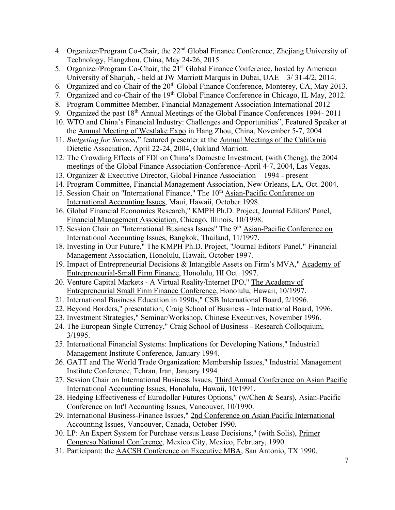- 4. Organizer/Program Co-Chair, the 22<sup>nd</sup> Global Finance Conference, Zhejiang University of Technology, Hangzhou, China, May 24-26, 2015
- 5. Organizer/Program Co-Chair, the 21<sup>st</sup> Global Finance Conference, hosted by American University of Sharjah, - held at JW Marriott Marquis in Dubai, UAE – 3/ 31-4/2, 2014.
- 6. Organized and co-Chair of the 20<sup>th</sup> Global Finance Conference, Monterey, CA, May 2013.
- 7. Organized and co-Chair of the 19<sup>th</sup> Global Finance Conference in Chicago, IL May, 2012.
- 8. Program Committee Member, Financial Management Association International 2012
- 9. Organized the past 18<sup>th</sup> Annual Meetings of the Global Finance Conferences 1994-2011
- 10. WTO and China's Financial Industry: Challenges and Opportunities", Featured Speaker at the Annual Meeting of Westlake Expo in Hang Zhou, China, November 5-7, 2004
- 11. *Budgeting for Success*," featured presenter at the Annual Meetings of the California Dietetic Association, April 22-24, 2004, Oakland Marriott.
- 12. The Crowding Effects of FDI on China's Domestic Investment, (with Cheng), the 2004 meetings of the Global Finance Association-Conference–April 4-7, 2004, Las Vegas.
- 13. Organizer & Executive Director, Global Finance Association 1994 present
- 14. Program Committee, Financial Management Association, New Orleans, LA, Oct. 2004.
- 15. Session Chair on "International Finance," The 10<sup>th</sup> Asian-Pacific Conference on International Accounting Issues, Maui, Hawaii, October 1998.
- 16. Global Financial Economics Research," KMPH Ph.D. Project, Journal Editors' Panel, Financial Management Association, Chicago, Illinois, 10/1998.
- 17. Session Chair on "International Business Issues" The 9<sup>th</sup> Asian-Pacific Conference on International Accounting Issues, Bangkok, Thailand, 11/1997.
- 18. Investing in Our Future," The KMPH Ph.D. Project, "Journal Editors' Panel," Financial Management Association, Honolulu, Hawaii, October 1997.
- 19. Impact of Entrepreneurial Decisions & Intangible Assets on Firm's MVA," Academy of Entrepreneurial-Small Firm Finance, Honolulu, HI Oct. 1997.
- 20. Venture Capital Markets A Virtual Reality/Internet IPO," The Academy of Entrepreneurial Small Firm Finance Conference, Honolulu, Hawaii, 10/1997.
- 21. International Business Education in 1990s," CSB International Board, 2/1996.
- 22. Beyond Borders," presentation, Craig School of Business International Board, 1996.
- 23. Investment Strategies," Seminar/Workshop, Chinese Executives, November 1996.
- 24. The European Single Currency," Craig School of Business Research Colloquium, 3/1995.
- 25. International Financial Systems: Implications for Developing Nations," Industrial Management Institute Conference, January 1994.
- 26. GATT and The World Trade Organization: Membership Issues," Industrial Management Institute Conference, Tehran, Iran, January 1994.
- 27. Session Chair on International Business Issues, Third Annual Conference on Asian Pacific International Accounting Issues, Honolulu, Hawaii, 10/1991.
- 28. Hedging Effectiveness of Eurodollar Futures Options," (w/Chen & Sears), Asian-Pacific Conference on Int'l Accounting Issues, Vancouver, 10/1990.
- 29. International Business-Finance Issues," 2nd Conference on Asian Pacific International Accounting Issues, Vancouver, Canada, October 1990.
- 30. LP: An Expert System for Purchase versus Lease Decisions," (with Solis), Primer Congreso National Conference, Mexico City, Mexico, February, 1990.
- 31. Participant: the AACSB Conference on Executive MBA, San Antonio, TX 1990.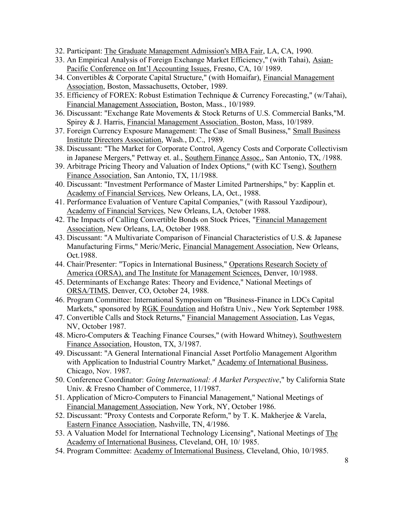- 32. Participant: The Graduate Management Admission's MBA Fair, LA, CA, 1990.
- 33. An Empirical Analysis of Foreign Exchange Market Efficiency," (with Tahai), Asian-Pacific Conference on Int'l Accounting Issues, Fresno, CA, 10/ 1989.
- 34. Convertibles & Corporate Capital Structure," (with Homaifar), Financial Management Association, Boston, Massachusetts, October, 1989.
- 35. Efficiency of FOREX: Robust Estimation Technique & Currency Forecasting," (w/Tahai), Financial Management Association, Boston, Mass., 10/1989.
- 36. Discussant: "Exchange Rate Movements & Stock Returns of U.S. Commercial Banks,"M. Spirey & J. Harris, Financial Management Association. Boston, Mass, 10/1989.
- 37. Foreign Currency Exposure Management: The Case of Small Business," Small Business Institute Directors Association, Wash., D.C., 1989.
- 38. Discussant: "The Market for Corporate Control, Agency Costs and Corporate Collectivism in Japanese Mergers," Pettway et. al., Southern Finance Assoc., San Antonio, TX, /1988.
- 39. Arbitrage Pricing Theory and Valuation of Index Options," (with KC Tseng), Southern Finance Association, San Antonio, TX, 11/1988.
- 40. Discussant: "Investment Performance of Master Limited Partnerships," by: Kapplin et. Academy of Financial Services, New Orleans, LA, Oct., 1988.
- 41. Performance Evaluation of Venture Capital Companies," (with Rassoul Yazdipour), Academy of Financial Services, New Orleans, LA, October 1988.
- 42. The Impacts of Calling Convertible Bonds on Stock Prices, "Financial Management Association, New Orleans, LA, October 1988.
- 43. Discussant: "A Multivariate Comparison of Financial Characteristics of U.S. & Japanese Manufacturing Firms," Meric/Meric, Financial Management Association, New Orleans, Oct.1988.
- 44. Chair/Presenter: "Topics in International Business," Operations Research Society of America (ORSA), and The Institute for Management Sciences, Denver, 10/1988.
- 45. Determinants of Exchange Rates: Theory and Evidence," National Meetings of ORSA/TIMS, Denver, CO, October 24, 1988.
- 46. Program Committee: International Symposium on "Business-Finance in LDCs Capital Markets," sponsored by RGK Foundation and Hofstra Univ., New York September 1988.
- 47. Convertible Calls and Stock Returns," Financial Management Association, Las Vegas, NV, October 1987.
- 48. Micro-Computers & Teaching Finance Courses," (with Howard Whitney), Southwestern Finance Association, Houston, TX, 3/1987.
- 49. Discussant: "A General International Financial Asset Portfolio Management Algorithm with Application to Industrial Country Market," Academy of International Business, Chicago, Nov. 1987.
- 50. Conference Coordinator: *Going International: A Market Perspective*," by California State Univ. & Fresno Chamber of Commerce, 11/1987.
- 51. Application of Micro-Computers to Financial Management," National Meetings of Financial Management Association, New York, NY, October 1986.
- 52. Discussant: "Proxy Contests and Corporate Reform," by T. K. Makherjee & Varela, Eastern Finance Association, Nashville, TN, 4/1986.
- 53. A Valuation Model for International Technology Licensing", National Meetings of The Academy of International Business, Cleveland, OH, 10/1985.
- 54. Program Committee: Academy of International Business, Cleveland, Ohio, 10/1985.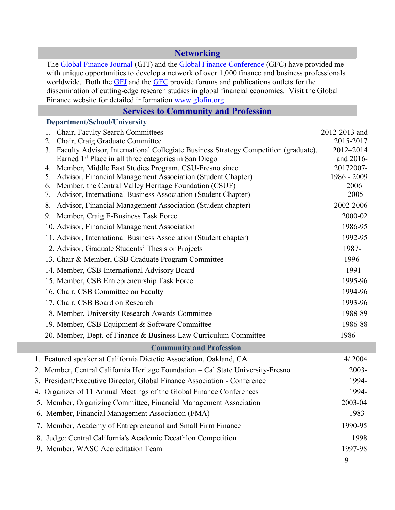#### **Networking**

The [Global Finance Journal](http://www.craig.csufresno.edu/International_Programs/GFC/JOURNAL/xjournal_modif.htm) (GFJ) and the [Global Finance Conference](http://www.globalfinance.csufresno.edu/) (GFC) have provided me with unique opportunities to develop a network of over 1,000 finance and business professionals worldwide. Both the [GFJ](http://www.globalfinance.csufresno.edu/keyspeakers2004.htm) and the [GFC](http://www.globalfinance.csufresno.edu/keyspeakers2004.htm) provide forums and publications outlets for the dissemination of cutting-edge research studies in global financial economics. Visit the Global Finance website for detailed information [www.glofin.org](http://www.glofin.org/)

#### **Services to Community and Profession**

#### **Department/School/University**

| 1. Chair, Faculty Search Committees                                                                                              | 2012-2013 and           |  |  |  |
|----------------------------------------------------------------------------------------------------------------------------------|-------------------------|--|--|--|
| 2. Chair, Craig Graduate Committee                                                                                               | 2015-2017               |  |  |  |
| 3. Faculty Advisor, International Collegiate Business Strategy Competition (graduate).                                           | 2012-2014               |  |  |  |
| Earned 1 <sup>st</sup> Place in all three categories in San Diego                                                                | and 2016-               |  |  |  |
| 4. Member, Middle East Studies Program, CSU-Fresno since                                                                         | 20172007-               |  |  |  |
| Advisor, Financial Management Association (Student Chapter)<br>5.<br>Member, the Central Valley Heritage Foundation (CSUF)<br>6. | 1986 - 2009<br>$2006 -$ |  |  |  |
| Advisor, International Business Association (Student Chapter)<br>7.                                                              | $2005 -$                |  |  |  |
| Advisor, Financial Management Association (Student chapter)<br>8.                                                                | 2002-2006               |  |  |  |
| 9. Member, Craig E-Business Task Force                                                                                           | 2000-02                 |  |  |  |
| 10. Advisor, Financial Management Association                                                                                    | 1986-95                 |  |  |  |
| 11. Advisor, International Business Association (Student chapter)                                                                | 1992-95                 |  |  |  |
| 12. Advisor, Graduate Students' Thesis or Projects                                                                               | 1987-                   |  |  |  |
| 13. Chair & Member, CSB Graduate Program Committee                                                                               | 1996 -                  |  |  |  |
| 14. Member, CSB International Advisory Board                                                                                     | 1991-                   |  |  |  |
| 15. Member, CSB Entrepreneurship Task Force                                                                                      | 1995-96                 |  |  |  |
| 16. Chair, CSB Committee on Faculty                                                                                              | 1994-96                 |  |  |  |
| 17. Chair, CSB Board on Research                                                                                                 | 1993-96                 |  |  |  |
| 18. Member, University Research Awards Committee                                                                                 | 1988-89                 |  |  |  |
| 19. Member, CSB Equipment & Software Committee                                                                                   | 1986-88                 |  |  |  |
| 20. Member, Dept. of Finance & Business Law Curriculum Committee                                                                 | 1986 -                  |  |  |  |
| <b>Community and Profession</b>                                                                                                  |                         |  |  |  |
| 1. Featured speaker at California Dietetic Association, Oakland, CA                                                              | 4/2004                  |  |  |  |
| 2. Member, Central California Heritage Foundation - Cal State University-Fresno                                                  | $2003 -$                |  |  |  |
| 3. President/Executive Director, Global Finance Association - Conference                                                         | 1994-                   |  |  |  |
| 4. Organizer of 11 Annual Meetings of the Global Finance Conferences                                                             | 1994-                   |  |  |  |
| 5. Member, Organizing Committee, Financial Management Association                                                                | 2003-04                 |  |  |  |
| 6. Member, Financial Management Association (FMA)                                                                                | 1983-                   |  |  |  |
| 7. Member, Academy of Entrepreneurial and Small Firm Finance                                                                     | 1990-95                 |  |  |  |
| 8. Judge: Central California's Academic Decathlon Competition                                                                    | 1998                    |  |  |  |
| 9. Member, WASC Accreditation Team                                                                                               | 1997-98                 |  |  |  |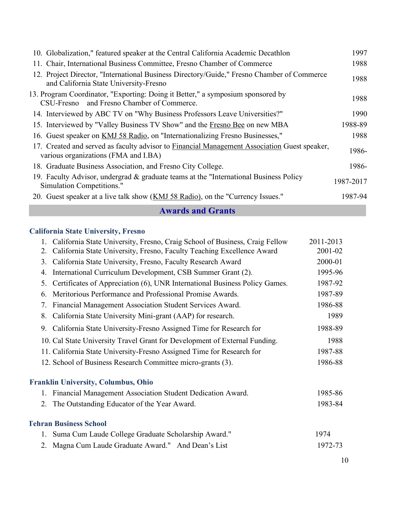| 10. Globalization," featured speaker at the Central California Academic Decathlon                                                    | 1997      |
|--------------------------------------------------------------------------------------------------------------------------------------|-----------|
| 11. Chair, International Business Committee, Fresno Chamber of Commerce                                                              | 1988      |
| 12. Project Director, "International Business Directory/Guide," Fresno Chamber of Commerce<br>and California State University-Fresno | 1988      |
| 13. Program Coordinator, "Exporting: Doing it Better," a symposium sponsored by<br>CSU-Fresno and Fresno Chamber of Commerce.        | 1988      |
| 14. Interviewed by ABC TV on "Why Business Professors Leave Universities?"                                                           | 1990      |
| 15. Interviewed by "Valley Business TV Show" and the Fresno Bee on new MBA                                                           | 1988-89   |
| 16. Guest speaker on KMJ 58 Radio, on "Internationalizing Fresno Businesses,"                                                        | 1988      |
| 17. Created and served as faculty advisor to Financial Management Association Guest speaker,<br>various organizations (FMA and I.BA) | 1986-     |
| 18. Graduate Business Association, and Fresno City College.                                                                          | 1986-     |
| 19. Faculty Advisor, undergrad & graduate teams at the "International Business Policy"<br>Simulation Competitions."                  | 1987-2017 |
| 20. Guest speaker at a live talk show (KMJ 58 Radio), on the "Currency Issues."                                                      | 1987-94   |

#### **Awards and Grants**

# **California State University, Fresno**

|    | 1. California State University, Fresno, Craig School of Business, Craig Fellow | 2011-2013 |
|----|--------------------------------------------------------------------------------|-----------|
| 2. | California State University, Fresno, Faculty Teaching Excellence Award         | 2001-02   |
| 3. | California State University, Fresno, Faculty Research Award                    | 2000-01   |
| 4. | International Curriculum Development, CSB Summer Grant (2).                    | 1995-96   |
| 5. | Certificates of Appreciation (6), UNR International Business Policy Games.     | 1987-92   |
| 6. | Meritorious Performance and Professional Promise Awards.                       | 1987-89   |
| 7. | Financial Management Association Student Services Award.                       | 1986-88   |
| 8. | California State University Mini-grant (AAP) for research.                     | 1989      |
| 9. | California State University-Fresno Assigned Time for Research for              | 1988-89   |
|    | 10. Cal State University Travel Grant for Development of External Funding.     | 1988      |
|    | 11. California State University-Fresno Assigned Time for Research for          | 1987-88   |
|    | 12. School of Business Research Committee micro-grants (3).                    | 1986-88   |
|    | <b>Franklin University, Columbus, Ohio</b>                                     |           |
|    | 1. Financial Management Association Student Dedication Award.                  | 1985-86   |
| 2. | The Outstanding Educator of the Year Award.                                    | 1983-84   |
|    | <b>Tehran Business School</b>                                                  |           |
| 1. | Suma Cum Laude College Graduate Scholarship Award."                            | 1974      |
| 2. | Magna Cum Laude Graduate Award." And Dean's List                               | 1972-73   |
|    |                                                                                |           |